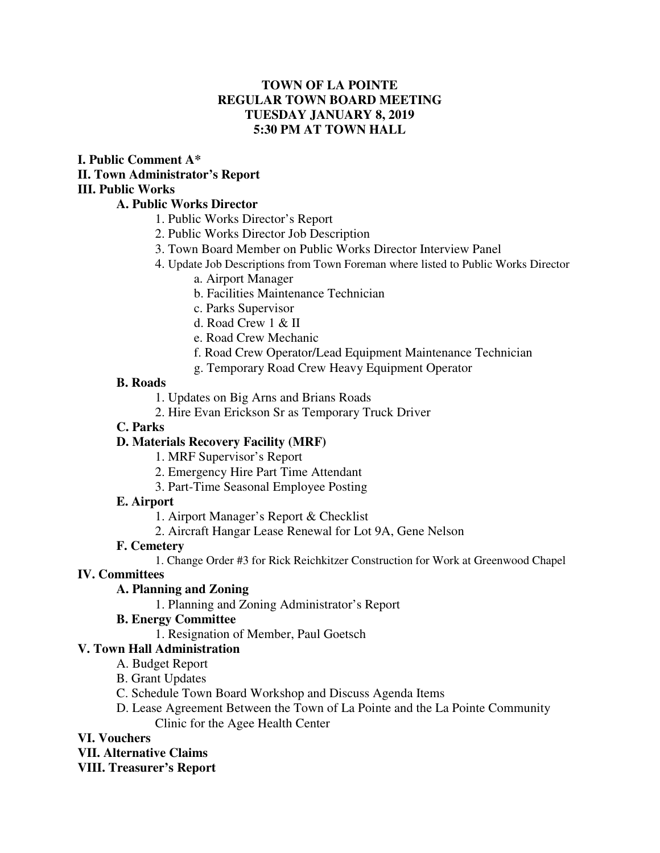### **TOWN OF LA POINTE REGULAR TOWN BOARD MEETING TUESDAY JANUARY 8, 2019 5:30 PM AT TOWN HALL**

#### **I. Public Comment A\* II. Town Administrator's Report III. Public Works**

### **A. Public Works Director**

- 1. Public Works Director's Report
- 2. Public Works Director Job Description
- 3. Town Board Member on Public Works Director Interview Panel
- 4. Update Job Descriptions from Town Foreman where listed to Public Works Director
	- a. Airport Manager
		- b. Facilities Maintenance Technician
		- c. Parks Supervisor
		- d. Road Crew 1 & II
		- e. Road Crew Mechanic
		- f. Road Crew Operator/Lead Equipment Maintenance Technician
	- g. Temporary Road Crew Heavy Equipment Operator

### **B. Roads**

- 1. Updates on Big Arns and Brians Roads
- 2. Hire Evan Erickson Sr as Temporary Truck Driver

### **C. Parks**

### **D. Materials Recovery Facility (MRF)**

- 1. MRF Supervisor's Report
- 2. Emergency Hire Part Time Attendant
- 3. Part-Time Seasonal Employee Posting

### **E. Airport**

- 1. Airport Manager's Report & Checklist
- 2. Aircraft Hangar Lease Renewal for Lot 9A, Gene Nelson

### **F. Cemetery**

1. Change Order #3 for Rick Reichkitzer Construction for Work at Greenwood Chapel

## **IV. Committees**

## **A. Planning and Zoning**

1. Planning and Zoning Administrator's Report

### **B. Energy Committee**

1. Resignation of Member, Paul Goetsch

# **V. Town Hall Administration**

- A. Budget Report
- B. Grant Updates
- C. Schedule Town Board Workshop and Discuss Agenda Items
- D. Lease Agreement Between the Town of La Pointe and the La Pointe Community Clinic for the Agee Health Center

## **VI. Vouchers**

## **VII. Alternative Claims**

**VIII. Treasurer's Report**